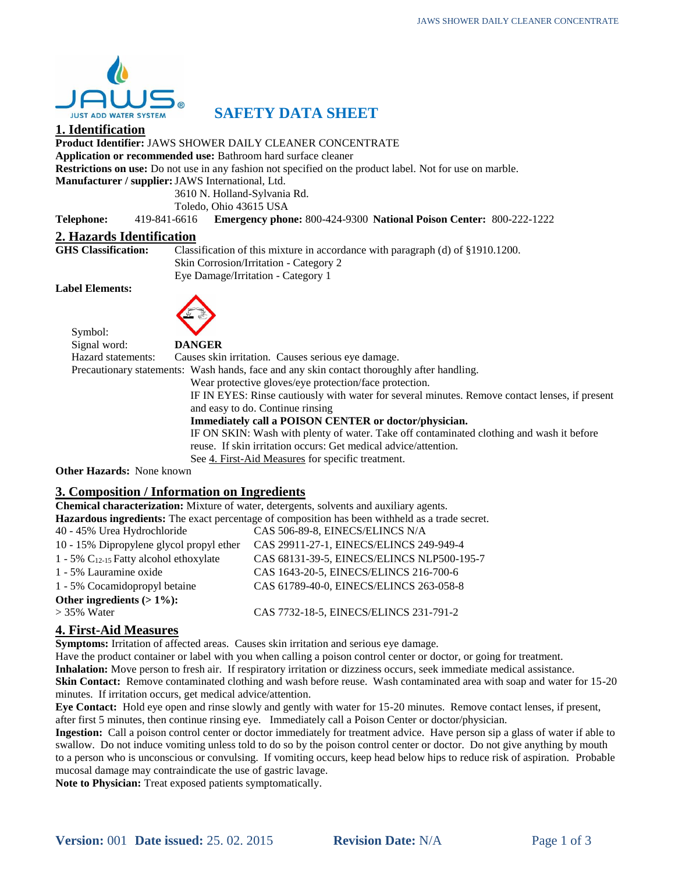

# **SAFETY DATA SHEET**

# **1. Identification**

**Product Identifier:** JAWS SHOWER DAILY CLEANER CONCENTRATE

**Application or recommended use:** Bathroom hard surface cleaner

**Restrictions on use:** Do not use in any fashion not specified on the product label. Not for use on marble.

**Manufacturer / supplier:**JAWS International, Ltd.

3610 N. Holland-Sylvania Rd.

Toledo, Ohio 43615 USA

**Telephone:** 419-841-6616 **Emergency phone:** 800-424-9300 **National Poison Center:** 800-222-1222

#### **2. Hazards Identification**

**GHS Classification:** Classification of this mixture in accordance with paragraph (d) of §1910.1200. Skin Corrosion/Irritation - Category 2 Eye Damage/Irritation - Category 1

**Label Elements:**

Symbol:



| Signal word:             | <b>DANGER</b>                                                                                  |
|--------------------------|------------------------------------------------------------------------------------------------|
| Hazard statements:       | Causes skin irritation. Causes serious eye damage.                                             |
|                          | Precautionary statements: Wash hands, face and any skin contact thoroughly after handling.     |
|                          | Wear protective gloves/eye protection/face protection.                                         |
|                          | IF IN EYES: Rinse cautiously with water for several minutes. Remove contact lenses, if present |
|                          | and easy to do. Continue rinsing                                                               |
|                          | Immediately call a POISON CENTER or doctor/physician.                                          |
|                          | IF ON SKIN: Wash with plenty of water. Take off contaminated clothing and wash it before       |
|                          | reuse. If skin irritation occurs: Get medical advice/attention.                                |
|                          | See 4. First-Aid Measures for specific treatment.                                              |
| her Hazards• None known. |                                                                                                |

**Other Hazards:** None known

# **3. Composition / Information on Ingredients**

|                                                       | <b>Chemical characterization:</b> Mixture of water, detergents, solvents and auxiliary agents.  |
|-------------------------------------------------------|-------------------------------------------------------------------------------------------------|
|                                                       | Hazardous ingredients: The exact percentage of composition has been withheld as a trade secret. |
| 40 - 45% Urea Hydrochloride                           | CAS 506-89-8, EINECS/ELINCS N/A                                                                 |
| 10 - 15% Dipropylene glycol propyl ether              | CAS 29911-27-1, EINECS/ELINCS 249-949-4                                                         |
| $1 - 5\%$ C <sub>12-15</sub> Fatty alcohol ethoxylate | CAS 68131-39-5, EINECS/ELINCS NLP500-195-7                                                      |
| 1 - 5% Lauramine oxide                                | CAS 1643-20-5, EINECS/ELINCS 216-700-6                                                          |
| 1 - 5% Cocamidopropyl betaine                         | CAS 61789-40-0, EINECS/ELINCS 263-058-8                                                         |
| Other ingredients $(>1\%)$ :                          |                                                                                                 |
| $>$ 35% Water                                         | CAS 7732-18-5, EINECS/ELINCS 231-791-2                                                          |
|                                                       |                                                                                                 |

# **4. First-Aid Measures**

**Symptoms:** Irritation of affected areas. Causes skin irritation and serious eye damage.

Have the product container or label with you when calling a poison control center or doctor, or going for treatment.

**Inhalation:** Move person to fresh air. If respiratory irritation or dizziness occurs, seek immediate medical assistance. **Skin Contact:** Remove contaminated clothing and wash before reuse. Wash contaminated area with soap and water for 15-20 minutes. If irritation occurs, get medical advice/attention.

**Eye Contact:** Hold eye open and rinse slowly and gently with water for 15-20 minutes. Remove contact lenses, if present, after first 5 minutes, then continue rinsing eye. Immediately call a Poison Center or doctor/physician.

**Ingestion:** Call a poison control center or doctor immediately for treatment advice. Have person sip a glass of water if able to swallow. Do not induce vomiting unless told to do so by the poison control center or doctor. Do not give anything by mouth to a person who is unconscious or convulsing. If vomiting occurs, keep head below hips to reduce risk of aspiration. Probable mucosal damage may contraindicate the use of gastric lavage.

**Note to Physician:** Treat exposed patients symptomatically.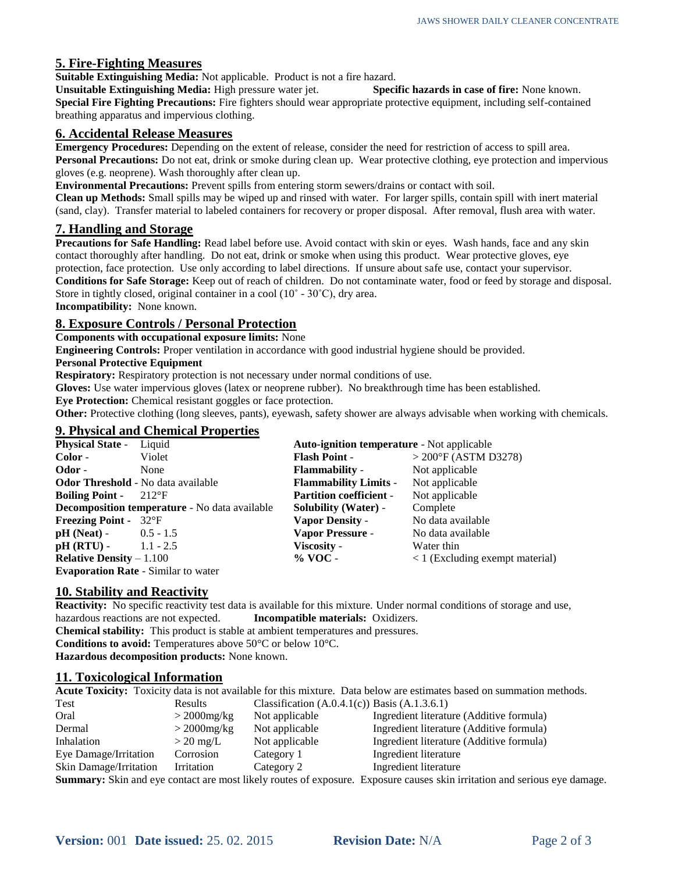# **5. Fire-Fighting Measures**

**Suitable Extinguishing Media:** Not applicable. Product is not a fire hazard.

**Unsuitable Extinguishing Media:** High pressure water jet. **Specific hazards in case of fire:** None known. **Special Fire Fighting Precautions:** Fire fighters should wear appropriate protective equipment, including self-contained breathing apparatus and impervious clothing.

### **6. Accidental Release Measures**

**Emergency Procedures:** Depending on the extent of release, consider the need for restriction of access to spill area. **Personal Precautions:** Do not eat, drink or smoke during clean up. Wear protective clothing, eye protection and impervious gloves (e.g. neoprene). Wash thoroughly after clean up.

**Environmental Precautions:** Prevent spills from entering storm sewers/drains or contact with soil.

**Clean up Methods:** Small spills may be wiped up and rinsed with water. For larger spills, contain spill with inert material (sand, clay). Transfer material to labeled containers for recovery or proper disposal. After removal, flush area with water.

### **7. Handling and Storage**

**Precautions for Safe Handling:** Read label before use. Avoid contact with skin or eyes. Wash hands, face and any skin contact thoroughly after handling. Do not eat, drink or smoke when using this product. Wear protective gloves, eye protection, face protection. Use only according to label directions. If unsure about safe use, contact your supervisor. **Conditions for Safe Storage:** Keep out of reach of children. Do not contaminate water, food or feed by storage and disposal. Store in tightly closed, original container in a cool  $(10<sup>°</sup> - 30<sup>°</sup>C)$ , dry area. **Incompatibility:** None known.

# **8. Exposure Controls / Personal Protection**

**Components with occupational exposure limits:** None

**Engineering Controls:** Proper ventilation in accordance with good industrial hygiene should be provided.

#### **Personal Protective Equipment**

**Respiratory:** Respiratory protection is not necessary under normal conditions of use.

**Gloves:** Use water impervious gloves (latex or neoprene rubber). No breakthrough time has been established.

**Eye Protection:** Chemical resistant goggles or face protection.

**Other:** Protective clothing (long sleeves, pants), eyewash, safety shower are always advisable when working with chemicals.

# **9. Physical and Chemical Properties**

| <b>Physical State -</b>               | Liquid                                        | <b>Auto-ignition temperature - Not applicable</b> |                                                 |
|---------------------------------------|-----------------------------------------------|---------------------------------------------------|-------------------------------------------------|
| Color -                               | Violet                                        | <b>Flash Point</b> -                              | $>$ 200 $\mathrm{F}$ (ASTM D3278)               |
| Odor -                                | None                                          | <b>Flammability</b> -                             | Not applicable                                  |
|                                       | <b>Odor Threshold</b> - No data available     | <b>Flammability Limits -</b>                      | Not applicable                                  |
| <b>Boiling Point -</b>                | $-212$ <sup>o</sup> F                         | <b>Partition coefficient -</b>                    | Not applicable                                  |
|                                       | Decomposition temperature - No data available | <b>Solubility (Water)</b> -                       | Complete                                        |
| <b>Freezing Point -</b> $32^{\circ}F$ |                                               | <b>Vapor Density -</b>                            | No data available                               |
| $pH (Neat)$ - 0.5 - 1.5               |                                               | <b>Vapor Pressure -</b>                           | No data available                               |
| $pH(RTU)$ -                           | $1.1 - 2.5$                                   | Viscosity -                                       | Water thin                                      |
| <b>Relative Density – 1.100</b>       |                                               | $%$ VOC -                                         | $\langle 1 \rangle$ (Excluding exempt material) |
|                                       | <b>Evaporation Rate</b> - Similar to water    |                                                   |                                                 |

#### **10. Stability and Reactivity**

**Reactivity:** No specific reactivity test data is available for this mixture. Under normal conditions of storage and use, hazardous reactions are not expected. **Incompatible materials:** Oxidizers. **Chemical stability:** This product is stable at ambient temperatures and pressures. **Conditions to avoid:** Temperatures above 50°C or below 10°C. **Hazardous decomposition products:** None known.

#### **11. Toxicological Information**

|                        |                  |                                                                         | Acute Toxicity: Toxicity data is not available for this mixture. Data below are estimates based on summation methods. |
|------------------------|------------------|-------------------------------------------------------------------------|-----------------------------------------------------------------------------------------------------------------------|
| Test                   | <b>Results</b>   | Classification $(A.0.4.1(c))$ Basis $(A.1.3.6.1)$                       |                                                                                                                       |
| Oral                   | $>$ 2000 $mg/kg$ | Not applicable                                                          | Ingredient literature (Additive formula)                                                                              |
| Dermal                 | $>$ 2000 $mg/kg$ | Not applicable                                                          | Ingredient literature (Additive formula)                                                                              |
| Inhalation             | $>$ 20 mg/L      | Not applicable                                                          | Ingredient literature (Additive formula)                                                                              |
| Eye Damage/Irritation  | Corrosion        | Category 1                                                              | Ingredient literature                                                                                                 |
| Skin Damage/Irritation | Irritation       | Category 2                                                              | Ingredient literature                                                                                                 |
|                        |                  | <b>Summary:</b> Skin and eve contact are most likely routes of exposure | Exposure causes skin irritation and serious eve dams                                                                  |

**Summary:** Skin and eye contact are most likely routes of exposure. Exposure causes skin irritation and serious eye damage.